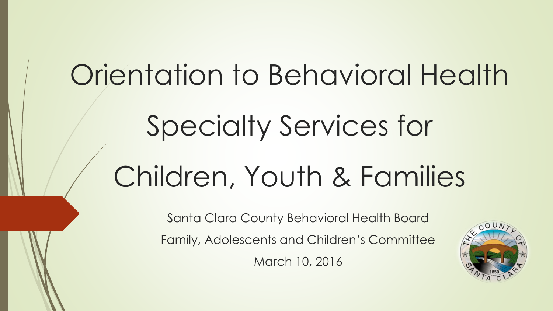Orientation to Behavioral Health Specialty Services for Children, Youth & Families

> Santa Clara County Behavioral Health Board Family, Adolescents and Children's Committee March 10, 2016

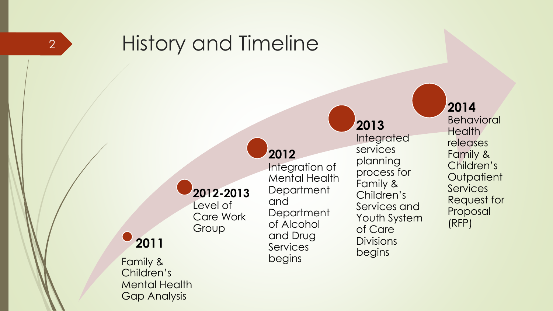

## History and Timeline

#### **2012 -2013** Level of

Care Work Group

### **2011**

Family & Children's Mental Health Gap Analysis

**2012**  Integration of Mental Health **Department** and **Department** of Alcohol and Drug Services begins

#### **2013**  Integrated services planning process for Family & Children's Services and Youth System of Care **Divisions** begins

#### **2014**

Behavioral **Health** releases Family & Children's **Outpatient Services** Request for Proposal (RFP)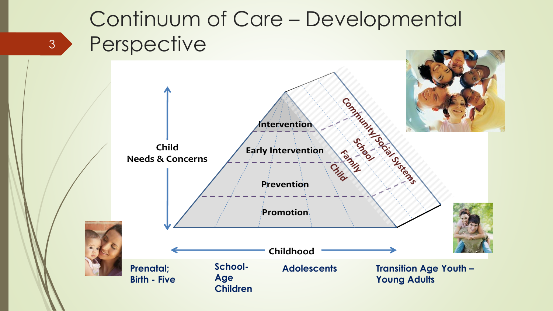# Continuum of Care – Developmental Perspective

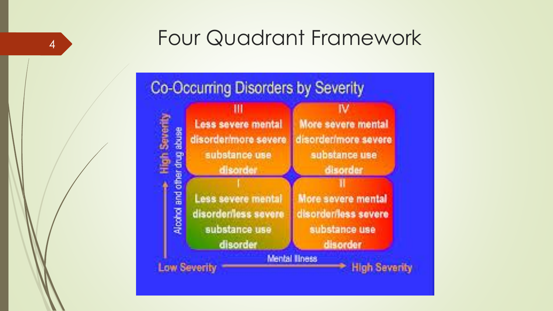## 4 Four Quadrant Framework

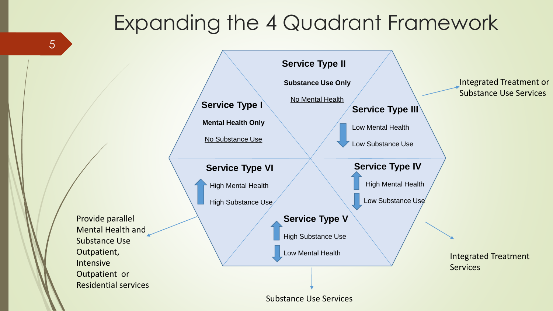## Expanding the 4 Quadrant Framework

**Service Type I Mental Health Only** No Substance Use **Service Type II Substance Use Only** No Mental Health **Service Type III** Low Mental Health Low Substance Use **Service Type VI** High Mental Health High Substance Use **Service Type V** High Substance Use Low Mental Health **Service Type IV** High Mental Health Low Substance Use Mental Health and Residential services Integrated Treatment **Services** Integrated Treatment or Substance Use Services

Substance Use Services

Provide parallel

Substance Use

Outpatient or

Outpatient, Intensive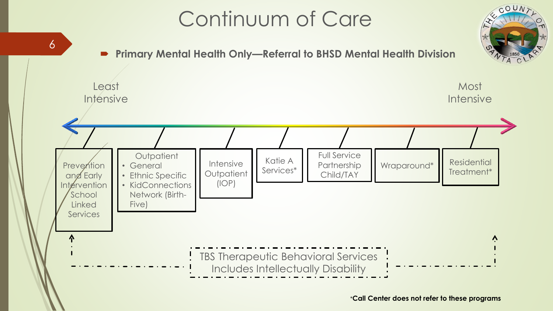# Continuum of Care



\***Call Center does not refer to these programs**

 $COUN$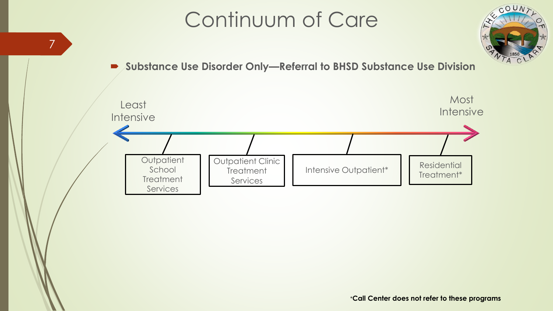# Continuum of Care

7



#### **Substance Use Disorder Only—Referral to BHSD Substance Use Division**

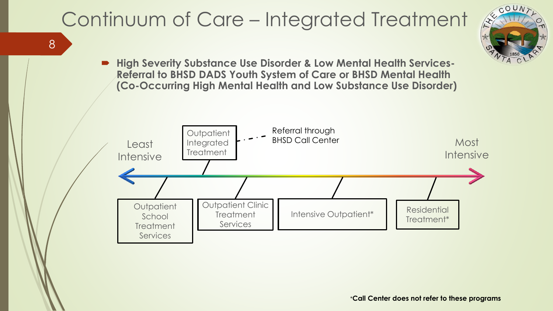# Continuum of Care – Integrated Treatment

8



 **High Severity Substance Use Disorder & Low Mental Health Services-Referral to BHSD DADS Youth System of Care or BHSD Mental Health (Co-Occurring High Mental Health and Low Substance Use Disorder)**

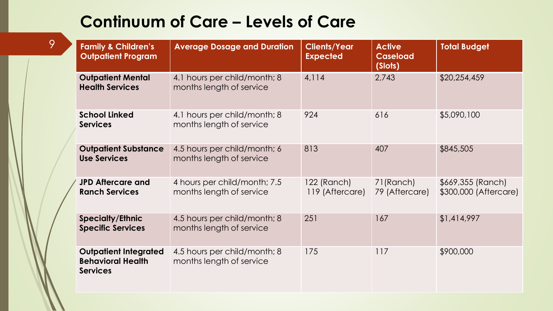| <b>Family &amp; Children's</b><br><b>Outpatient Program</b>                 | <b>Average Dosage and Duration</b>                       | <b>Clients/Year</b><br><b>Expected</b> | <b>Active</b><br><b>Caseload</b><br>(Slots) | <b>Total Budget</b>                        |
|-----------------------------------------------------------------------------|----------------------------------------------------------|----------------------------------------|---------------------------------------------|--------------------------------------------|
| <b>Outpatient Mental</b><br><b>Health Services</b>                          | 4.1 hours per child/month; 8<br>months length of service | 4,114                                  | 2,743                                       | \$20,254,459                               |
| <b>School Linked</b><br><b>Services</b>                                     | 4.1 hours per child/month; 8<br>months length of service | 924                                    | 616                                         | \$5,090,100                                |
| <b>Outpatient Substance</b><br><b>Use Services</b>                          | 4.5 hours per child/month; 6<br>months length of service | 813                                    | 407                                         | \$845,505                                  |
| <b>JPD Aftercare and</b><br><b>Ranch Services</b>                           | 4 hours per child/month; 7.5<br>months length of service | 122 (Ranch)<br>119 (Aftercare)         | 71(Ranch)<br>79 (Aftercare)                 | \$669,355 (Ranch)<br>\$300,000 (Aftercare) |
| <b>Specialty/Ethnic</b><br><b>Specific Services</b>                         | 4.5 hours per child/month; 8<br>months length of service | 251                                    | 167                                         | \$1,414,997                                |
| <b>Outpatient Integrated</b><br><b>Behavioral Health</b><br><b>Services</b> | 4.5 hours per child/month; 8<br>months length of service | 175                                    | 117                                         | \$900,000                                  |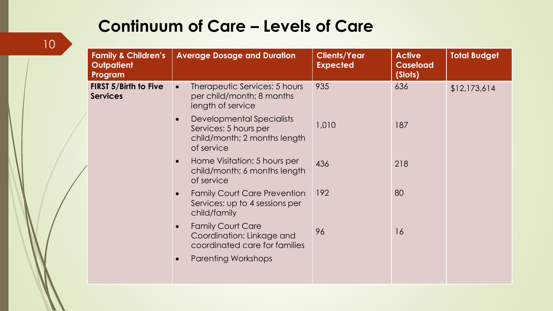| <b>Family &amp; Children's</b><br><b>Outpatient</b><br>Program | <b>Average Dosage and Duration</b>                                                                            | <b>Clients/Year</b><br><b>Expected</b> | <b>Active</b><br><b>Caseload</b><br>(Slots) | <b>Total Budget</b> |
|----------------------------------------------------------------|---------------------------------------------------------------------------------------------------------------|----------------------------------------|---------------------------------------------|---------------------|
| <b>FIRST 5/Birth to Five</b><br><b>Services</b>                | Therapeutic Services: 5 hours<br>$\bullet$<br>per child/month; 8 months<br>length of service                  | 935                                    | 636                                         | \$12,173,614        |
|                                                                | Developmental Specialists<br>$\bullet$<br>Services: 5 hours per<br>child/month; 2 months length<br>of service | 1,010                                  | 187                                         |                     |
|                                                                | Home Visitation: 5 hours per<br>$\bullet$<br>child/month; 6 months length<br>of service                       | 436                                    | 218                                         |                     |
|                                                                | <b>Family Court Care Prevention</b><br>Services: up to 4 sessions per<br>child/family                         | 192                                    | 80                                          |                     |
|                                                                | <b>Family Court Care</b><br>$\bullet$<br>Coordination: Linkage and<br>coordinated care for families           | 96                                     | 16                                          |                     |
|                                                                | <b>Parenting Workshops</b>                                                                                    |                                        |                                             |                     |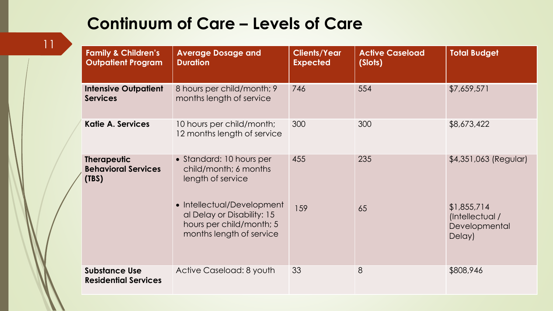| <b>Family &amp; Children's</b><br><b>Outpatient Program</b> | <b>Average Dosage and</b><br><b>Duration</b>                                                                     | <b>Clients/Year</b><br><b>Expected</b> | <b>Active Caseload</b><br>(Slots) | <b>Total Budget</b>                                       |
|-------------------------------------------------------------|------------------------------------------------------------------------------------------------------------------|----------------------------------------|-----------------------------------|-----------------------------------------------------------|
| <b>Intensive Outpatient</b><br><b>Services</b>              | 8 hours per child/month; 9<br>months length of service                                                           | 746                                    | 554                               | \$7,659,571                                               |
| <b>Katie A. Services</b>                                    | 10 hours per child/month;<br>12 months length of service                                                         | 300                                    | 300                               | \$8,673,422                                               |
| <b>Therapeutic</b><br><b>Behavioral Services</b><br>(TBS)   | • Standard: 10 hours per<br>child/month; 6 months<br>length of service                                           | 455                                    | 235                               | \$4,351,063 (Regular)                                     |
|                                                             | • Intellectual/Development<br>al Delay or Disability: 15<br>hours per child/month; 5<br>months length of service | 159                                    | 65                                | \$1,855,714<br>(Intellectual /<br>Developmental<br>Delay) |
| <b>Substance Use</b><br><b>Residential Services</b>         | Active Caseload: 8 youth                                                                                         | 33                                     | 8                                 | \$808,946                                                 |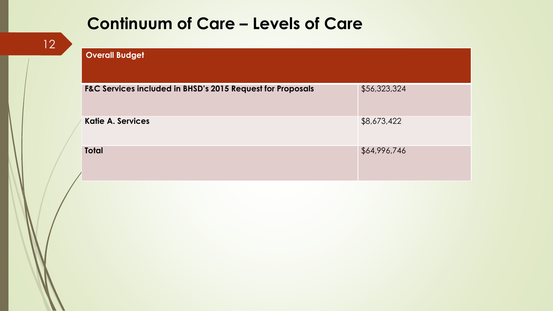| <b>Overall Budget</b>                                      |              |
|------------------------------------------------------------|--------------|
| F&C Services included in BHSD's 2015 Request for Proposals | \$56,323,324 |
| <b>Katie A. Services</b>                                   | \$8,673,422  |
| <b>Total</b>                                               | \$64,996,746 |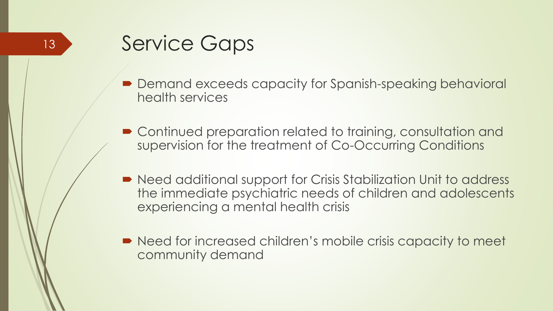- Demand exceeds capacity for Spanish-speaking behavioral health services
- Continued preparation related to training, consultation and supervision for the treatment of Co-Occurring Conditions
- Need additional support for Crisis Stabilization Unit to address the immediate psychiatric needs of children and adolescents experiencing a mental health crisis
- Need for increased children's mobile crisis capacity to meet community demand